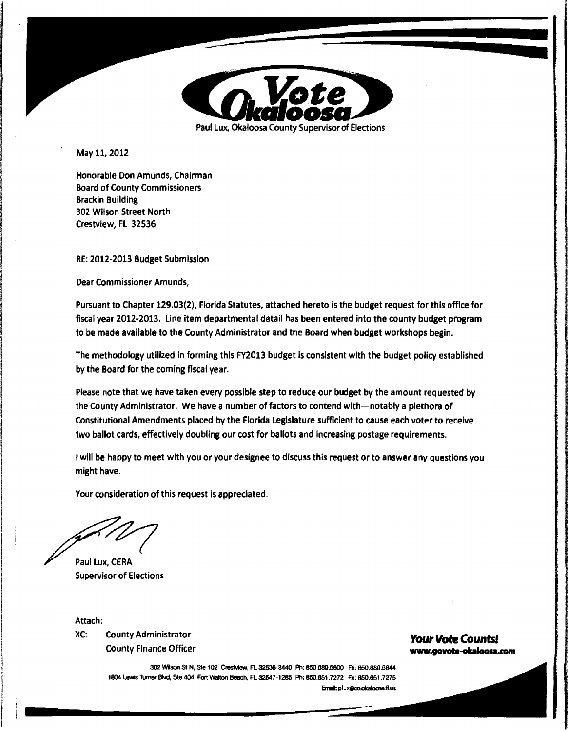

May 11, 2012

Honorable Don Amunds, Chairman Board of County Commissioners Brackin Building 302 Wilson Street North Crestview, FL 32536

RE: 2012-2013 Budget Submission

Dear Commissioner Amunds,

Pursuant to Chapter 129.03(2), Florida Statutes, attached hereto is the budget request for this office for fiscal year 2012-2013. Line item departmental detail has been entered into the county budget program to be made available to the County Administrator and the Board when budget workshops begin.

The methodology utilized in forming this FY2013 budget is consistent with the budget policy established by the Board for the coming fiscal year.

Please note that we have taken every possible step to reduce our budget by the amount requested by the County Administrator. We have a number of factors to contend with-notably a plethora of Constitutional Amendments placed by the Florida Legislature sufficient to cause each voter to receive two ballot cards, effectively doubling our cost for ballots and increasing postage requirements.

I will be happy to meet with you or your designee to discuss this request or to answer any questions you might have.

Your consideration of this request is appreciated.

Paul Lux, **CERA**  Supervisor of Elections

Attach:

XC: County Administrator **Your Vote Countsl Your Vote Countsl Your Vote Countsl** 

# www.govote-okaloosa.com

-

-

302 Wilson St N, Ste 102 Crestview, FL 32536-3440 Ph: 850.689.5600 Fx: 850.889.5644 1804 Lewis Turner Blvd, Ste 404 Fort Walton Beach, FL 32547-1285 Ph: 850.651.7272 Fx: 850.651.7275 **&nal:** pluX@CO.Okaloosa.fl.us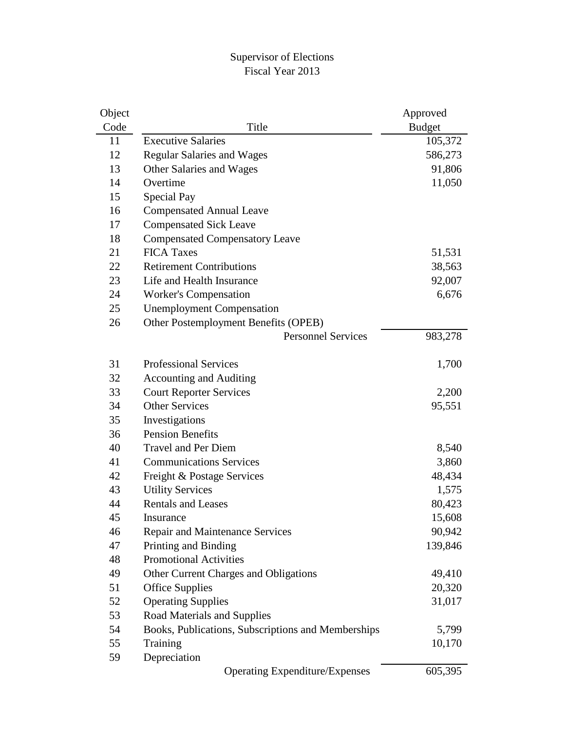#### Supervisor of Elections Fiscal Year 2013

| Object |                                                    | Approved      |
|--------|----------------------------------------------------|---------------|
| Code   | Title                                              | <b>Budget</b> |
| 11     | <b>Executive Salaries</b>                          | 105,372       |
| 12     | <b>Regular Salaries and Wages</b>                  | 586,273       |
| 13     | Other Salaries and Wages                           | 91,806        |
| 14     | Overtime                                           | 11,050        |
| 15     | Special Pay                                        |               |
| 16     | <b>Compensated Annual Leave</b>                    |               |
| 17     | <b>Compensated Sick Leave</b>                      |               |
| 18     | <b>Compensated Compensatory Leave</b>              |               |
| 21     | <b>FICA Taxes</b>                                  | 51,531        |
| 22     | <b>Retirement Contributions</b>                    | 38,563        |
| 23     | Life and Health Insurance                          | 92,007        |
| 24     | <b>Worker's Compensation</b>                       | 6,676         |
| 25     | <b>Unemployment Compensation</b>                   |               |
| 26     | Other Postemployment Benefits (OPEB)               |               |
|        | <b>Personnel Services</b>                          | 983,278       |
|        |                                                    |               |
| 31     | <b>Professional Services</b>                       | 1,700         |
| 32     | <b>Accounting and Auditing</b>                     |               |
| 33     | <b>Court Reporter Services</b>                     | 2,200         |
| 34     | <b>Other Services</b>                              | 95,551        |
| 35     | Investigations                                     |               |
| 36     | <b>Pension Benefits</b>                            |               |
| 40     | <b>Travel and Per Diem</b>                         | 8,540         |
| 41     | <b>Communications Services</b>                     | 3,860         |
| 42     | Freight & Postage Services                         | 48,434        |
| 43     | <b>Utility Services</b>                            | 1,575         |
| 44     | <b>Rentals and Leases</b>                          | 80,423        |
| 45     | Insurance                                          | 15,608        |
| 46     | Repair and Maintenance Services                    | 90,942        |
| 47     | Printing and Binding                               | 139,846       |
| 48     | <b>Promotional Activities</b>                      |               |
| 49     | Other Current Charges and Obligations              | 49,410        |
| 51     | <b>Office Supplies</b>                             | 20,320        |
| 52     | <b>Operating Supplies</b>                          | 31,017        |
| 53     | Road Materials and Supplies                        |               |
| 54     | Books, Publications, Subscriptions and Memberships | 5,799         |
| 55     | Training                                           | 10,170        |
| 59     | Depreciation                                       |               |
|        | <b>Operating Expenditure/Expenses</b>              | 605,395       |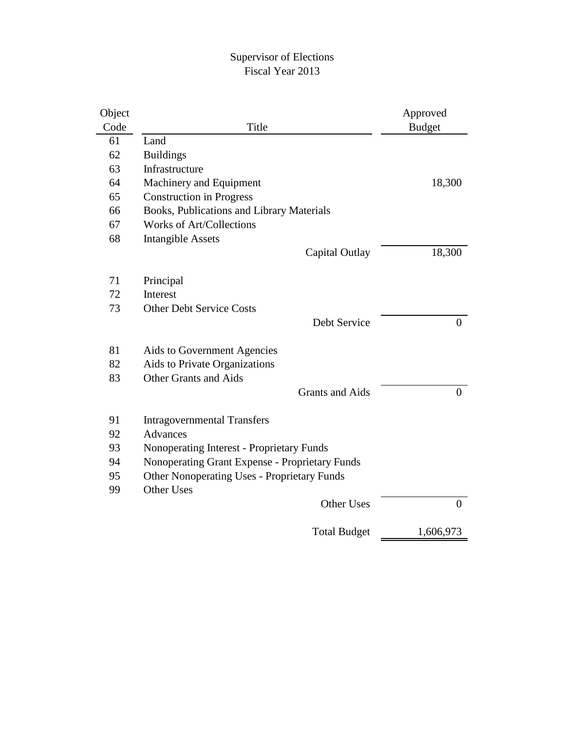#### Supervisor of Elections Fiscal Year 2013

| Code<br><b>Budget</b><br>Title<br>61<br>Land<br><b>Buildings</b><br>62<br>63<br>Infrastructure<br>64<br>Machinery and Equipment<br>18,300<br>65<br><b>Construction in Progress</b><br>Books, Publications and Library Materials<br>66<br><b>Works of Art/Collections</b><br>67<br>68<br><b>Intangible Assets</b><br>18,300<br>Capital Outlay<br>71<br>Principal<br>72<br><b>Interest</b><br>73<br><b>Other Debt Service Costs</b><br>Debt Service<br>81<br>Aids to Government Agencies<br>82<br>Aids to Private Organizations |                |
|-------------------------------------------------------------------------------------------------------------------------------------------------------------------------------------------------------------------------------------------------------------------------------------------------------------------------------------------------------------------------------------------------------------------------------------------------------------------------------------------------------------------------------|----------------|
|                                                                                                                                                                                                                                                                                                                                                                                                                                                                                                                               |                |
|                                                                                                                                                                                                                                                                                                                                                                                                                                                                                                                               |                |
|                                                                                                                                                                                                                                                                                                                                                                                                                                                                                                                               |                |
|                                                                                                                                                                                                                                                                                                                                                                                                                                                                                                                               |                |
|                                                                                                                                                                                                                                                                                                                                                                                                                                                                                                                               |                |
|                                                                                                                                                                                                                                                                                                                                                                                                                                                                                                                               |                |
|                                                                                                                                                                                                                                                                                                                                                                                                                                                                                                                               |                |
|                                                                                                                                                                                                                                                                                                                                                                                                                                                                                                                               |                |
|                                                                                                                                                                                                                                                                                                                                                                                                                                                                                                                               |                |
|                                                                                                                                                                                                                                                                                                                                                                                                                                                                                                                               |                |
|                                                                                                                                                                                                                                                                                                                                                                                                                                                                                                                               |                |
|                                                                                                                                                                                                                                                                                                                                                                                                                                                                                                                               |                |
|                                                                                                                                                                                                                                                                                                                                                                                                                                                                                                                               |                |
|                                                                                                                                                                                                                                                                                                                                                                                                                                                                                                                               |                |
|                                                                                                                                                                                                                                                                                                                                                                                                                                                                                                                               | $\overline{0}$ |
|                                                                                                                                                                                                                                                                                                                                                                                                                                                                                                                               |                |
|                                                                                                                                                                                                                                                                                                                                                                                                                                                                                                                               |                |
| <b>Other Grants and Aids</b><br>83                                                                                                                                                                                                                                                                                                                                                                                                                                                                                            |                |
| <b>Grants and Aids</b>                                                                                                                                                                                                                                                                                                                                                                                                                                                                                                        | $\overline{0}$ |
|                                                                                                                                                                                                                                                                                                                                                                                                                                                                                                                               |                |
| 91<br><b>Intragovernmental Transfers</b>                                                                                                                                                                                                                                                                                                                                                                                                                                                                                      |                |
| <b>Advances</b><br>92                                                                                                                                                                                                                                                                                                                                                                                                                                                                                                         |                |
| 93<br>Nonoperating Interest - Proprietary Funds                                                                                                                                                                                                                                                                                                                                                                                                                                                                               |                |
| Nonoperating Grant Expense - Proprietary Funds<br>94                                                                                                                                                                                                                                                                                                                                                                                                                                                                          |                |
| <b>Other Nonoperating Uses - Proprietary Funds</b><br>95                                                                                                                                                                                                                                                                                                                                                                                                                                                                      |                |
| <b>Other Uses</b><br>99                                                                                                                                                                                                                                                                                                                                                                                                                                                                                                       |                |
| <b>Other Uses</b>                                                                                                                                                                                                                                                                                                                                                                                                                                                                                                             | $\overline{0}$ |
| <b>Total Budget</b><br>1,606,973                                                                                                                                                                                                                                                                                                                                                                                                                                                                                              |                |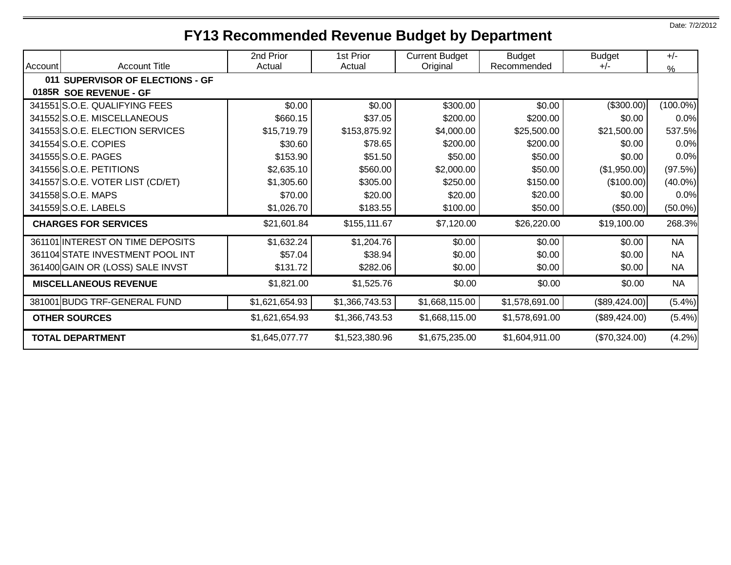# **FY13 Recommended Revenue Budget by Department**

| Account | <b>Account Title</b>             | 2nd Prior<br>Actual | 1st Prior<br>Actual | <b>Current Budget</b><br>Original | <b>Budget</b><br>Recommended | <b>Budget</b><br>$+/-$ | $+/-$<br>$\frac{9}{6}$ |
|---------|----------------------------------|---------------------|---------------------|-----------------------------------|------------------------------|------------------------|------------------------|
|         | 011 SUPERVISOR OF ELECTIONS - GF |                     |                     |                                   |                              |                        |                        |
|         | 0185R SOE REVENUE - GF           |                     |                     |                                   |                              |                        |                        |
|         | 341551 S.O.E. QUALIFYING FEES    | \$0.00              | \$0.00              | \$300.00                          | \$0.00                       | (\$300.00)             | $(100.0\%)$            |
|         | 341552 S.O.E. MISCELLANEOUS      | \$660.15            | \$37.05             | \$200.00                          | \$200.00                     | \$0.00                 | 0.0%                   |
|         | 341553 S.O.E. ELECTION SERVICES  | \$15,719.79         | \$153,875.92        | \$4,000.00                        | \$25,500.00                  | \$21,500.00            | 537.5%                 |
|         | 341554 S.O.E. COPIES             | \$30.60             | \$78.65             | \$200.00                          | \$200.00                     | \$0.00                 | 0.0%                   |
|         | 341555 S.O.E. PAGES              | \$153.90            | \$51.50             | \$50.00                           | \$50.00                      | \$0.00                 | 0.0%                   |
|         | 341556 S.O.E. PETITIONS          | \$2,635.10          | \$560.00            | \$2,000.00                        | \$50.00                      | (\$1,950.00)           | (97.5%)                |
|         | 341557 S.O.E. VOTER LIST (CD/ET) | \$1,305.60          | \$305.00            | \$250.00                          | \$150.00                     | (\$100.00)             | $(40.0\%)$             |
|         | 341558 S.O.E. MAPS               | \$70.00             | \$20.00             | \$20.00                           | \$20.00                      | \$0.00                 | 0.0%                   |
|         | 341559 S.O.E. LABELS             | \$1,026.70          | \$183.55            | \$100.00                          | \$50.00                      | (\$50.00)              | $(50.0\%)$             |
|         | <b>CHARGES FOR SERVICES</b>      | \$21,601.84         | \$155,111.67        | \$7,120.00                        | \$26,220.00                  | \$19,100.00            | 268.3%                 |
|         | 361101 INTEREST ON TIME DEPOSITS | \$1,632.24          | \$1,204.76          | \$0.00                            | \$0.00                       | \$0.00                 | <b>NA</b>              |
|         | 361104 STATE INVESTMENT POOL INT | \$57.04             | \$38.94             | \$0.00                            | \$0.00                       | \$0.00                 | <b>NA</b>              |
|         | 361400 GAIN OR (LOSS) SALE INVST | \$131.72            | \$282.06            | \$0.00                            | \$0.00                       | \$0.00                 | <b>NA</b>              |
|         | <b>MISCELLANEOUS REVENUE</b>     | \$1,821.00          | \$1,525.76          | \$0.00                            | \$0.00                       | \$0.00                 | <b>NA</b>              |
|         | 381001 BUDG TRF-GENERAL FUND     | \$1,621,654.93      | \$1,366,743.53      | \$1,668,115.00                    | \$1,578,691.00               | (\$89,424.00)          | (5.4%)                 |
|         | <b>OTHER SOURCES</b>             | \$1,621,654.93      | \$1,366,743.53      | \$1,668,115.00                    | \$1,578,691.00               | (\$89,424.00)          | (5.4%)                 |
|         | <b>TOTAL DEPARTMENT</b>          | \$1,645,077.77      | \$1,523,380.96      | \$1,675,235.00                    | \$1,604,911.00               | (\$70,324.00)          | (4.2%)                 |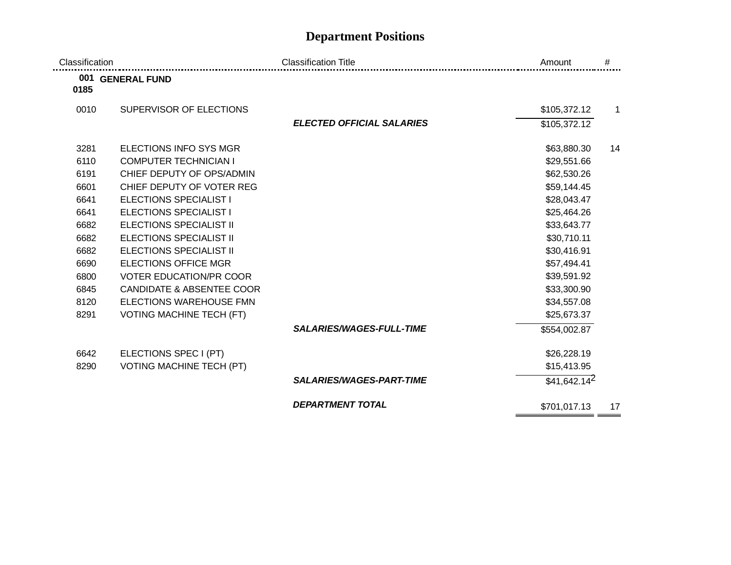## **Department Positions**

| Classification |                                      | <b>Classification Title</b>      | Amount         | #            |
|----------------|--------------------------------------|----------------------------------|----------------|--------------|
| 0185           | 001 GENERAL FUND                     |                                  |                |              |
| 0010           | SUPERVISOR OF ELECTIONS              |                                  | \$105,372.12   | $\mathbf{1}$ |
|                |                                      | <b>ELECTED OFFICIAL SALARIES</b> | \$105,372.12   |              |
| 3281           | ELECTIONS INFO SYS MGR               |                                  | \$63,880.30    | 14           |
| 6110           | <b>COMPUTER TECHNICIAN I</b>         |                                  | \$29,551.66    |              |
| 6191           | CHIEF DEPUTY OF OPS/ADMIN            |                                  | \$62,530.26    |              |
| 6601           | CHIEF DEPUTY OF VOTER REG            |                                  | \$59,144.45    |              |
| 6641           | <b>ELECTIONS SPECIALIST I</b>        |                                  | \$28,043.47    |              |
| 6641           | <b>ELECTIONS SPECIALIST I</b>        |                                  | \$25,464.26    |              |
| 6682           | <b>ELECTIONS SPECIALIST II</b>       |                                  | \$33,643.77    |              |
| 6682           | <b>ELECTIONS SPECIALIST II</b>       |                                  | \$30,710.11    |              |
| 6682           | <b>ELECTIONS SPECIALIST II</b>       |                                  | \$30,416.91    |              |
| 6690           | <b>ELECTIONS OFFICE MGR</b>          |                                  | \$57,494.41    |              |
| 6800           | <b>VOTER EDUCATION/PR COOR</b>       |                                  | \$39,591.92    |              |
| 6845           | <b>CANDIDATE &amp; ABSENTEE COOR</b> |                                  | \$33,300.90    |              |
| 8120           | ELECTIONS WAREHOUSE FMN              |                                  | \$34,557.08    |              |
| 8291           | <b>VOTING MACHINE TECH (FT)</b>      |                                  | \$25,673.37    |              |
|                |                                      | <b>SALARIES/WAGES-FULL-TIME</b>  | \$554,002.87   |              |
| 6642           | ELECTIONS SPEC I (PT)                |                                  | \$26,228.19    |              |
| 8290           | <b>VOTING MACHINE TECH (PT)</b>      |                                  | \$15,413.95    |              |
|                |                                      | <b>SALARIES/WAGES-PART-TIME</b>  | $$41,642.14^2$ |              |
|                |                                      | <b>DEPARTMENT TOTAL</b>          | \$701,017.13   | 17           |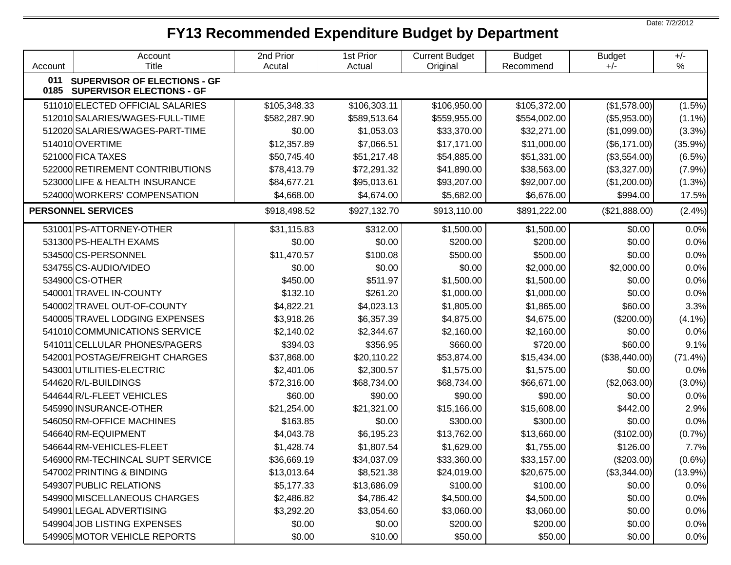## **FY13 Recommended Expenditure Budget by Department**

Account Account Title 2nd Prior Acutal 1st Prior Actual Current Budget **Original** Budget Recommend Budget +/-+/-% **011 0185 SUPERVISOR OF ELECTIONS - GF SUPERVISOR ELECTIONS - GF** 511010 ELECTED OFFICIAL SALARIES \$105,348.33 \$106,303.11 \$106,950.00 \$105,372.00 (\$1,578.00) (1.5%) 512010 SALARIES/WAGES-FULL-TIME \$582,287.90 \$589,513.64 \$559,955.00 \$554,002.00 (\$5,953.00) (1.1%) 512020 SALARIES/WAGES-PART-TIME \$0.00 \$1,053.03 \$33,370.00 \$32,271.00 (\$1,099.00) (3.3%) 514010|OVERTIME | \$12,357.89 | \$7,066.51 | \$17,171.00 | \$11,000.00 | (\$6,171.00)| (35.9%)| 521000|FICA TAXES | \$50,745.40 | \$51,217.48 | \$54,885.00 | \$51,331.00 | (\$3,554.00)| (6.5%)| 522000 RETIREMENT CONTRIBUTIONS | \$78,413.79 \$72,291.32 \$41,890.00 \$38,563.00 (\$3,327.00) (7.9%) 523000 LIFE & HEALTH INSURANCE \$84,677.21 \$95,013.61 \$93,207.00 \$92,007.00 (\$1,200.00) (1.3%) 524000 WORKERS' COMPENSATION \$4,668.00 \$4,674.00 \$5,682.00 \$6,676.00 \$994.00 17.5% **PERSONNEL SERVICES** 6.4%) \$918,498.52 \$927,132.70 \$913,110.00 \$891,222.00 (\$21,888.00) (2.4%) 531001 PS-ATTORNEY-OTHER \$31,115.83 \$312.00 \$1,500.00 \$1,500.00 \$0.00 0.0% 531300 PS-HEALTH EXAMS \$0.00 \$0.00 \$200.00 \$200.00 \$0.00 0.0% 534500 CS-PERSONNEL | \$11,470.57 | \$100.08 | \$500.00 | \$500.00 | \$0.00 | 0.0% 534755 CS-AUDIO/VIDEO | \$0.00 | \$0.00 | \$0.00 | \$2,000.00 | \$2,000.00 | 0.0% 534900|CS-OTHER | \$450.00 | \$511.97 | \$1,500.00 | \$1,500.00 | \$0.00 | 0.0% | 540001|TRAVEL IN-COUNTY | \$132.10 | \$261.20 | \$1,000.00 | \$1,000.00 | \$0.00 | 0.0% 540002 TRAVEL OUT-OF-COUNTY \$4,822.21 | \$4,023.13 | \$1,805.00 | \$1,865.00 | \$60.00 | 3.3% 540005 TRAVEL LODGING EXPENSES | \$3,918.26 \$6,357.39 \$4,875.00 \$4,675.00 \$4,675.00 (\$200.00) (4.1%) 541010 COMMUNICATIONS SERVICE \$2.140.02 | \$2.344.67 | \$2.160.00 | \$2.160.00 | \$0.00 | 0.0% 541011|CELLULAR PHONES/PAGERS \$394.03 | \$356.95 | \$660.00 | \$720.00 | \$60.00 | 9.1% 542001 POSTAGE/FREIGHT CHARGES \$37,868.00 \$20,110.22 \$53,874.00 \$15,434.00 (\$38,440.00) (71.4%) 543001 UTILITIES-ELECTRIC \$2,401.06 \$2,300.57 \$1,575.00 \$1,575.00 \$0.00 0.0% 544620 R/L-BUILDINGS \$72,316.00 \$68,734.00 \$68,734.00 \$66,671.00 (\$2,063.00) (3.0%) 544644R/L-FLEET VEHICLES \$60.00 | \$90.00 | \$90.00 | \$90.00 | \$0.00 | 0.0% 545990 INSURANCE-OTHER I \$21,254.00 I \$21,321,00 I \$15,166.00 I \$15,608.00 I \$442.00 I 2.9% 546050 RM-OFFICE MACHINES \$163.85 | \$0.00 | \$300.00 | \$300.00 | \$0.00 | 0.0% 546640 RM-EQUIPMENT \$4,043.78 \$6,195.23 \$13,762.00 \$13,660.00 (\$102.00) (0.7%) 546644 RM-VEHICLES-FLEET \$1,428.74 \$1,807.54 \$1,629.00 \$1,755.00 \$126.00 7.7% 546900 RM-TECHINCAL SUPT SERVICE  $\begin{array}{c|c} \n & 33,6669.19 & 334,037.09 & 333,360.00 & 333,157.00 & 333,000 & 0.6\% \n\end{array}$ 547002 PRINTING & BINDING \$13,013.64 | \$8,521.38 | \$24,019.00 | \$20,675.00 | (\$3,344.00) | (13.9%) 549307 PUBLIC RELATIONS \$5.177.33 | \$13,686.09 | \$100.00 | \$100.00 | \$0.00 | 0.0% 549900 MISCELLANEOUS CHARGES \$2,486.82 | \$4,786.42 | \$4,500.00 | \$4,500.00 | \$0.00 | 0.0% 549901 LEGAL ADVERTISING \$3,292.20 \$3,054.60 \$3,060.00 \$3,060.00 \$0.00 0.0% 549904 JOB LISTING EXPENSES \$0.00 \$0.00 \$200.00 \$200.00 \$0.00 0.0% 549905IMOTOR VEHICLE REPORTS \$0.00 | \$10.00 | \$50.00 | \$0.00 | 0.0%

Date: 7/2/2012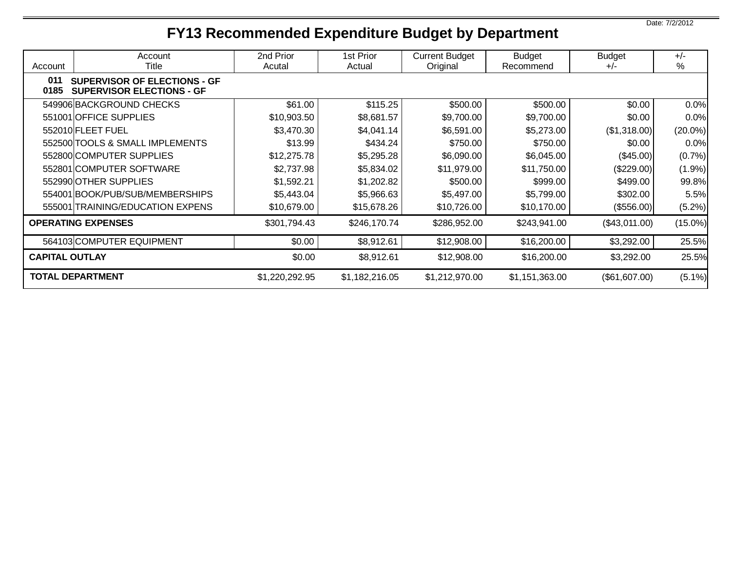# **FY13 Recommended Expenditure Budget by Department**

| Account                                                                                | Account<br>Title                 | 2nd Prior<br>Acutal | 1st Prior<br>Actual | <b>Current Budget</b><br>Original | <b>Budget</b><br>Recommend | <b>Budget</b><br>$+/-$ | $+/-$<br>% |
|----------------------------------------------------------------------------------------|----------------------------------|---------------------|---------------------|-----------------------------------|----------------------------|------------------------|------------|
| 011<br><b>SUPERVISOR OF ELECTIONS - GF</b><br>0185<br><b>SUPERVISOR ELECTIONS - GF</b> |                                  |                     |                     |                                   |                            |                        |            |
|                                                                                        | 549906 BACKGROUND CHECKS         | \$61.00             | \$115.25            | \$500.00                          | \$500.00                   | \$0.00                 | 0.0%       |
|                                                                                        | 551001 OFFICE SUPPLIES           | \$10,903.50         | \$8,681.57          | \$9,700.00                        | \$9,700.00                 | \$0.00                 | 0.0%       |
|                                                                                        | 552010 FLEET FUEL                | \$3,470.30          | \$4,041.14          | \$6,591.00                        | \$5,273.00                 | (\$1,318.00)           | $(20.0\%)$ |
|                                                                                        | 552500 TOOLS & SMALL IMPLEMENTS  | \$13.99             | \$434.24            | \$750.00                          | \$750.00                   | \$0.00                 | 0.0%       |
|                                                                                        | 552800 COMPUTER SUPPLIES         | \$12,275.78         | \$5,295.28          | \$6,090.00                        | \$6,045.00                 | (\$45.00)              | (0.7%      |
|                                                                                        | 552801 COMPUTER SOFTWARE         | \$2,737.98          | \$5,834.02          | \$11,979.00                       | \$11,750.00                | (\$229.00)             | (1.9%)     |
|                                                                                        | 552990 OTHER SUPPLIES            | \$1,592.21          | \$1,202.82          | \$500.00                          | \$999.00                   | \$499.00               | 99.8%      |
|                                                                                        | 554001 BOOK/PUB/SUB/MEMBERSHIPS  | \$5,443.04          | \$5,966.63          | \$5,497.00                        | \$5,799.00                 | \$302.00               | 5.5%       |
|                                                                                        | 555001 TRAINING/EDUCATION EXPENS | \$10,679.00         | \$15,678.26         | \$10,726.00                       | \$10,170.00                | (\$556.00)             | (5.2%)     |
|                                                                                        | <b>OPERATING EXPENSES</b>        | \$301,794.43        | \$246,170.74        | \$286,952.00                      | \$243,941.00               | (\$43,011.00)          | $(15.0\%)$ |
|                                                                                        | 564103 COMPUTER EQUIPMENT        | \$0.00              | \$8,912.61          | \$12,908.00                       | \$16,200.00                | \$3,292.00             | 25.5%      |
| <b>CAPITAL OUTLAY</b>                                                                  |                                  | \$0.00              | \$8,912.61          | \$12,908.00                       | \$16,200.00                | \$3,292.00             | 25.5%      |
|                                                                                        | <b>TOTAL DEPARTMENT</b>          | \$1,220,292.95      | \$1,182,216.05      | \$1,212,970.00                    | \$1,151,363.00             | (\$61,607.00)          | $(5.1\%)$  |

Date: 7/2/2012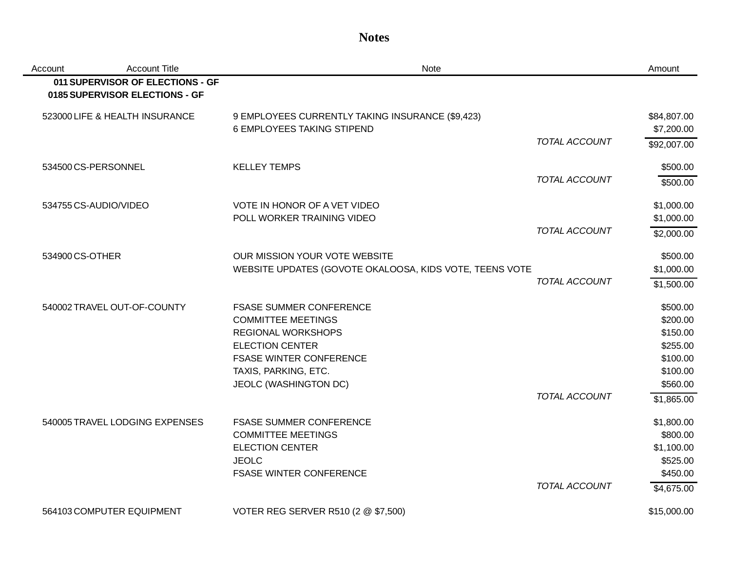#### **Notes**

| Account | <b>Account Title</b>                                               | <b>Note</b>                                             |                      | Amount      |
|---------|--------------------------------------------------------------------|---------------------------------------------------------|----------------------|-------------|
|         | 011 SUPERVISOR OF ELECTIONS - GF<br>0185 SUPERVISOR ELECTIONS - GF |                                                         |                      |             |
|         | 523000 LIFE & HEALTH INSURANCE                                     | 9 EMPLOYEES CURRENTLY TAKING INSURANCE (\$9,423)        |                      | \$84,807.00 |
|         |                                                                    | 6 EMPLOYEES TAKING STIPEND                              |                      | \$7,200.00  |
|         |                                                                    |                                                         | <b>TOTAL ACCOUNT</b> | \$92,007.00 |
|         | 534500 CS-PERSONNEL                                                | <b>KELLEY TEMPS</b>                                     |                      | \$500.00    |
|         |                                                                    |                                                         | <b>TOTAL ACCOUNT</b> | \$500.00    |
|         | 534755 CS-AUDIO/VIDEO                                              | VOTE IN HONOR OF A VET VIDEO                            |                      | \$1,000.00  |
|         |                                                                    | POLL WORKER TRAINING VIDEO                              |                      | \$1,000.00  |
|         |                                                                    |                                                         | TOTAL ACCOUNT        | \$2,000.00  |
|         | 534900 CS-OTHER                                                    | OUR MISSION YOUR VOTE WEBSITE                           |                      | \$500.00    |
|         |                                                                    | WEBSITE UPDATES (GOVOTE OKALOOSA, KIDS VOTE, TEENS VOTE |                      | \$1,000.00  |
|         |                                                                    |                                                         | TOTAL ACCOUNT        | \$1,500.00  |
|         | 540002 TRAVEL OUT-OF-COUNTY                                        | <b>FSASE SUMMER CONFERENCE</b>                          |                      | \$500.00    |
|         |                                                                    | <b>COMMITTEE MEETINGS</b>                               |                      | \$200.00    |
|         |                                                                    | <b>REGIONAL WORKSHOPS</b>                               |                      | \$150.00    |
|         |                                                                    | <b>ELECTION CENTER</b>                                  |                      | \$255.00    |
|         |                                                                    | <b>FSASE WINTER CONFERENCE</b>                          |                      | \$100.00    |
|         |                                                                    | TAXIS, PARKING, ETC.                                    |                      | \$100.00    |
|         |                                                                    | JEOLC (WASHINGTON DC)                                   |                      | \$560.00    |
|         |                                                                    |                                                         | TOTAL ACCOUNT        | \$1,865.00  |
|         | 540005 TRAVEL LODGING EXPENSES                                     | <b>FSASE SUMMER CONFERENCE</b>                          |                      | \$1,800.00  |
|         |                                                                    | <b>COMMITTEE MEETINGS</b>                               |                      | \$800.00    |
|         |                                                                    | <b>ELECTION CENTER</b>                                  |                      | \$1,100.00  |
|         |                                                                    | <b>JEOLC</b>                                            |                      | \$525.00    |
|         |                                                                    | <b>FSASE WINTER CONFERENCE</b>                          |                      | \$450.00    |
|         |                                                                    |                                                         | TOTAL ACCOUNT        | \$4,675.00  |
|         | 564103 COMPUTER EQUIPMENT                                          | VOTER REG SERVER R510 (2 @ \$7,500)                     |                      | \$15,000.00 |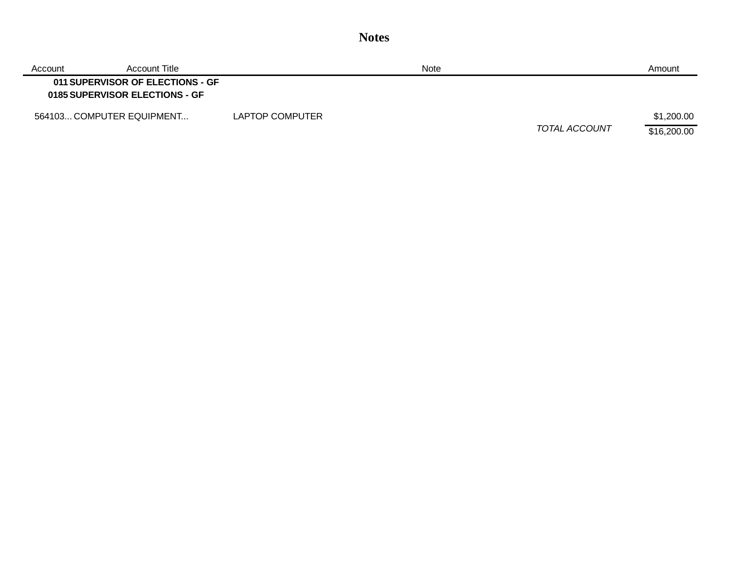| Account                   | Account Title                                                      |                 | <b>Note</b> |               | Amount                    |
|---------------------------|--------------------------------------------------------------------|-----------------|-------------|---------------|---------------------------|
|                           | 011 SUPERVISOR OF ELECTIONS - GF<br>0185 SUPERVISOR ELECTIONS - GF |                 |             |               |                           |
| 564103 COMPUTER EQUIPMENT |                                                                    | LAPTOP COMPUTER |             | TOTAL ACCOUNT | \$1,200.00<br>\$16,200.00 |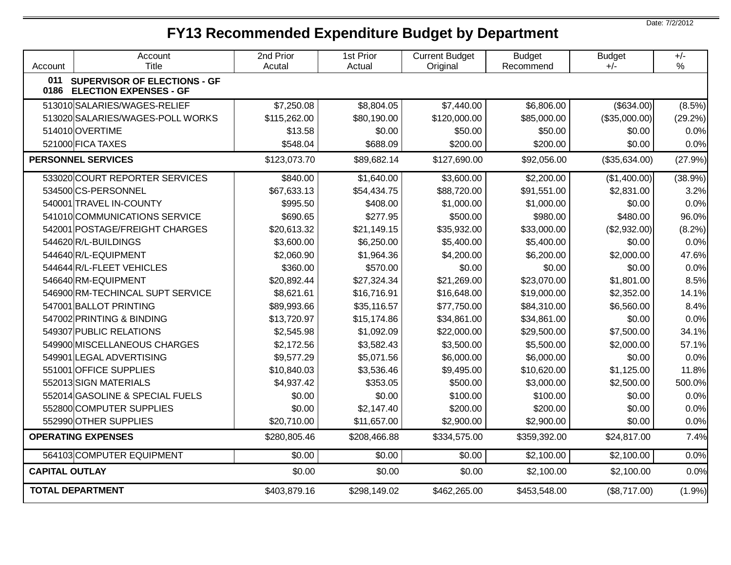## **FY13 Recommended Expenditure Budget by Department**

Account Account Title 2nd Prior Acutal 1st Prior Actual Current Budget **Original** Budget Recommend Budget +/-+/-% **011 0186 ELECTION EXPENSES - GF SUPERVISOR OF ELECTIONS - GF** 513010 SALARIES/WAGES-RELIEF \$7,250.08 \$8,804.05 \$7,440.00 \$6,806.00 (\$634.00) (8.5%) 513020 SALARIES/WAGES-POLL WORKS \$115,262.00 \$80,190.00 \$120,000.00 \$85,000.00 (\$35,000.00) (29.2%) 514010 OVERTIME \$13.58 \$0.00 \$50.00 \$50.00 \$0.00 0.0% 521000 FICA TAXES \$548.04 | \$688.09 | \$200.00 | \$200.00 | \$0.00 | 0.0% **PERSONNEL SERVICES** \$123,073.70 \$89,682.14 \$127,690.00 \$92,056.00 (\$35,634.00) (27.9%) 533020 COURT REPORTER SERVICES (\$840.00 | \$1,640.00 | \$3,600.00 | \$2,200.00 | \$1,400.00 | \$3,9% 534500 CS-PERSONNEL \$67,633.13 | \$54,434.75 | \$88,720.00 | \$91,551.00 | \$2,831.00 | 3.2% 540001 TRAVEL IN-COUNTY | \$995.50 | \$408.00 | \$1.000.00 | \$1.000.00 | \$0.00 | 0.0% 541010 COMMUNICATIONS SERVICE | \$690.65 \$277.95 \$500.00 \$980.00 \$480.00 \$480.00 \$480.00 \$480.00 \$500 \$500 \$50 542001|POSTAGE/FREIGHT CHARGES | \$20,613.32 \$21,149.15 \$35,932.00 \$33,000.00 (\$2,932.00) (8.2%) 544620 R/L-BUILDINGS \$3,600.00 | \$6,250.00 | \$5,400.00 | \$5,400.00 | \$0.00 | 0.0% 544640 R/L-EQUIPMENT \$2,060.90 \$1,964.36 \$4,200.00 \$6,200.00 \$2,000.00 47.6% 544644|R/L-FLEET VEHICLES | \$360.00 | \$570.00 | \$0.00 | \$0.00 | 0.0% 546640 RM-EQUIPMENT \$20,892.44 | \$27,324.34 | \$21,269.00 | \$23,070.00 | \$1,801.00 | 8.5% 546900 RM-TECHINCAL SUPT SERVICE \$8,621.61 \$16,716.91 \$16,648.00 \$19,000.00 \$2,352.00 14.1% 547001|BALLOT PRINTING | \$89,993.66 | \$35,116.57 | \$77,750.00 | \$84,310.00 | \$6,560.00 | 8.4% 547002 PRINTING & BINDING \$13,720.97 | \$15,174.86 | \$34,861.00 | \$34,861.00 | \$0.00 | 0.0% 549307 PUBLIC RELATIONS \$2,545.98 \$1,092.09 \$22,000.00 \$29,500.00 \$7,500.00 34.1% 549900 MISCELLANEOUS CHARGES \$2,172.56 | \$3,582.43 | \$3,500.00 | \$5,500.00 | \$2,000.00 | 57.1% 549901|LEGAL ADVERTISING | \$9.577.29 | \$5.071.56 | \$6.000.00 | \$6.000.00 | \$0.00 | 0.0% 551001 | UPPLIES | 11.8% \$10,840.03 | \$3,536.46 | \$9,495.00 \$10,620.00 \$1,125.00 | 11.8% 552013 SIGN MATERIALS \$4.937.42 \$353.05 \$500.00 \$3.000.00 \$2.500.00 500.0% 552014 GASOLINE & SPECIAL FUELS  $$0.00$   $$0.00$   $$100.00$   $$100.00$   $$0.00$   $$0.00$   $$0.00$ 552800|COMPUTER SUPPLIES \$0.00 | \$2.147.40 | \$200.00 | \$200.00 | \$0.00 | 0.0% 552990 OTHER SUPPLIES \$20,710.00 | \$11,657.00 | \$2,900.00 | \$0.00 | 0.0% **OPERATING EXPENSES**  $$280,805.46$   $$208,466.88$   $$334,575.00$   $$359,392.00$   $$24,817.00$   $7.4\%$ 564103 COMPUTER EQUIPMENT \$0.00 \$0.00 \$0.00 \$2,100.00 \$2,100.00 0.0% **CAPITAL OUTLAY** \$0.00 \$0.00 \$0.00 \$2,100.00 \$2,100.00 0.0% **TOTAL DEPARTMENT** 1.9%) **\$403,879.16** \$298,149.02 \$462,265.00 \$453,548.00 (\$8,717.00) (1.9%)

Date: 7/2/2012